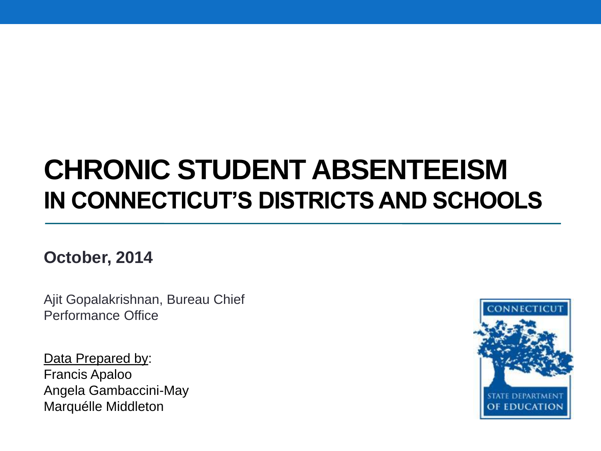#### **CHRONIC STUDENT ABSENTEEISM IN CONNECTICUT'S DISTRICTS AND SCHOOLS**

**October, 2014**

Ajit Gopalakrishnan, Bureau Chief Performance Office

Data Prepared by: Francis Apaloo Angela Gambaccini-May Marquélle Middleton

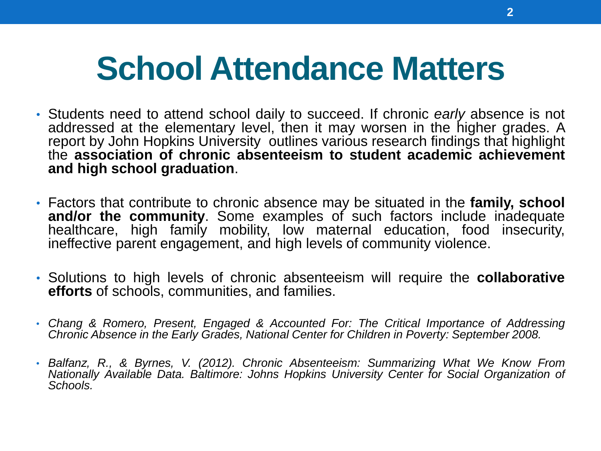# **School Attendance Matters**

- Students need to attend school daily to succeed. If chronic *early* absence is not addressed at the elementary level, then it may worsen in the higher grades. A report by John Hopkins University outlines various research findings that highlight the **association of chronic absenteeism to student academic achievement and high school graduation**.
- Factors that contribute to chronic absence may be situated in the **family, school and/or the community**. Some examples of such factors include inadequate healthcare, high family mobility, low maternal education, food insecurity, ineffective parent engagement, and high levels of community violence.
- Solutions to high levels of chronic absenteeism will require the **collaborative efforts** of schools, communities, and families.
- *Chang & Romero, Present, Engaged & Accounted For: The Critical Importance of Addressing Chronic Absence in the Early Grades, National Center for Children in Poverty: September 2008.*
- *Balfanz, R., & Byrnes, V. (2012). Chronic Absenteeism: Summarizing What We Know From Nationally Available Data. Baltimore: Johns Hopkins University Center for Social Organization of Schools.*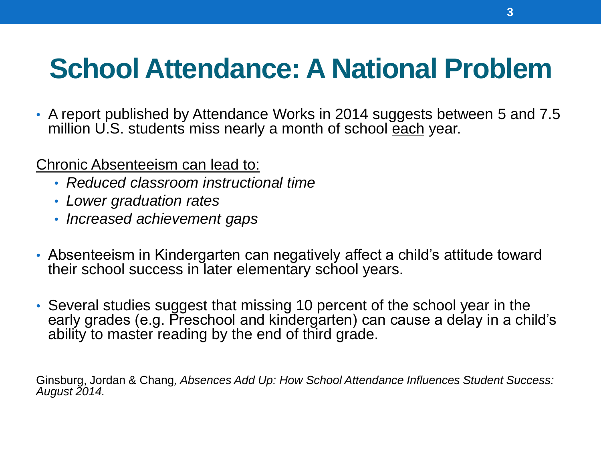### **School Attendance: A National Problem**

• A report published by Attendance Works in 2014 suggests between 5 and 7.5 million U.S. students miss nearly a month of school each year.

Chronic Absenteeism can lead to:

- *Reduced classroom instructional time*
- *Lower graduation rates*
- *Increased achievement gaps*
- Absenteeism in Kindergarten can negatively affect a child's attitude toward their school success in later elementary school years.
- Several studies suggest that missing 10 percent of the school year in the early grades (e.g. Preschool and kindergarten) can cause a delay in a child's ability to master reading by the end of third grade.

Ginsburg, Jordan & Chang*, Absences Add Up: How School Attendance Influences Student Success: August 2014.*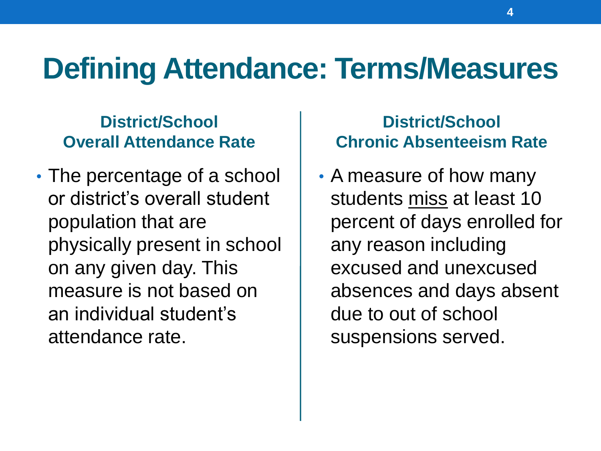### **Defining Attendance: Terms/Measures**

#### **District/School Overall Attendance Rate**

• The percentage of a school or district's overall student population that are physically present in school on any given day. This measure is not based on an individual student's attendance rate.

#### **District/School Chronic Absenteeism Rate**

• A measure of how many students miss at least 10 percent of days enrolled for any reason including excused and unexcused absences and days absent due to out of school suspensions served.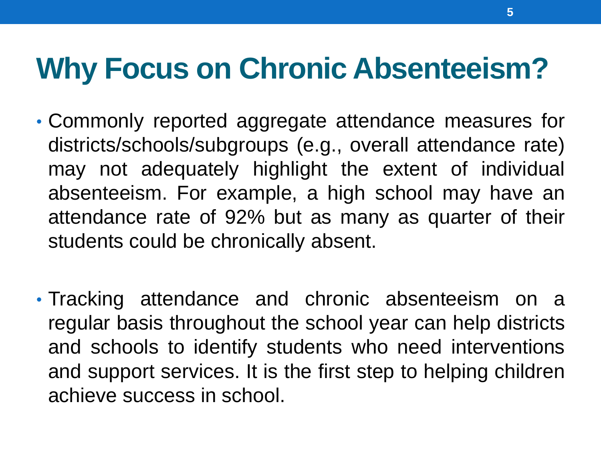# **Why Focus on Chronic Absenteeism?**

- Commonly reported aggregate attendance measures for districts/schools/subgroups (e.g., overall attendance rate) may not adequately highlight the extent of individual absenteeism. For example, a high school may have an attendance rate of 92% but as many as quarter of their students could be chronically absent.
- Tracking attendance and chronic absenteeism on a regular basis throughout the school year can help districts and schools to identify students who need interventions and support services. It is the first step to helping children achieve success in school.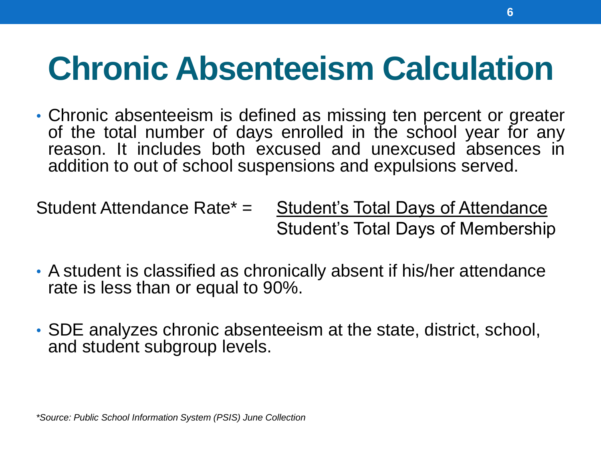# **Chronic Absenteeism Calculation**

• Chronic absenteeism is defined as missing ten percent or greater of the total number of days enrolled in the school year for any reason. It includes both excused and unexcused absences in addition to out of school suspensions and expulsions served.

Student Attendance Rate\* = Student's Total Days of Attendance Student's Total Days of Membership

- A student is classified as chronically absent if his/her attendance rate is less than or equal to 90%.
- SDE analyzes chronic absenteeism at the state, district, school, and student subgroup levels.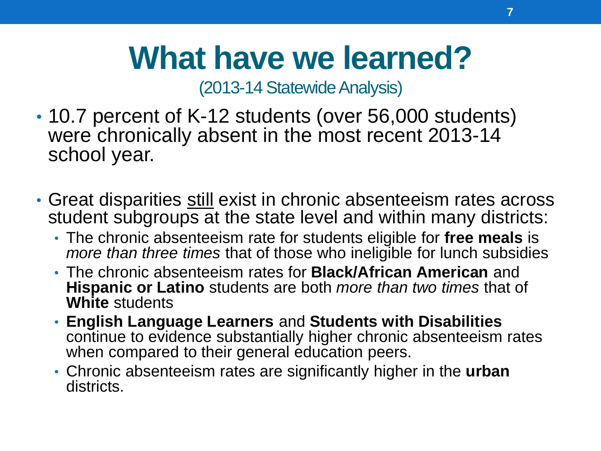# **What have we learned?**

(2013-14 Statewide Analysis)

- 10.7 percent of K-12 students (over 56,000 students) were chronically absent in the most recent 2013-14 school year.
- Great disparities still exist in chronic absenteeism rates across student subgroups at the state level and within many districts:
	- The chronic absenteeism rate for students eligible for **free meals** is *more than three times* that of those who ineligible for lunch subsidies
	- The chronic absenteeism rates for **Black/African American** and **Hispanic or Latino** students are both *more than two times* that of **White** students
	- **English Language Learners** and **Students with Disabilities**  continue to evidence substantially higher chronic absenteeism rates when compared to their general education peers.
	- Chronic absenteeism rates are significantly higher in the **urban**  districts.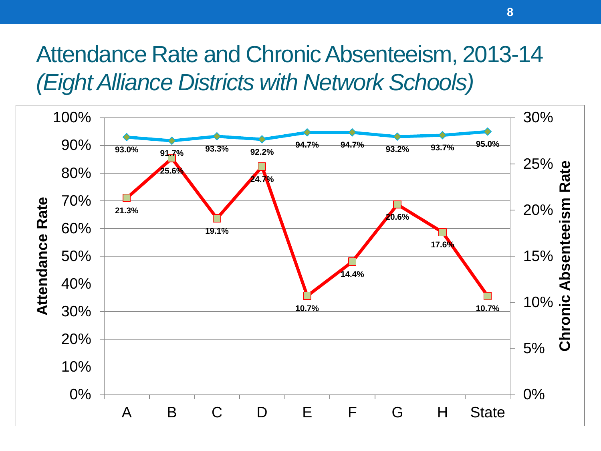#### Attendance Rate and Chronic Absenteeism, 2013-14 *(Eight Alliance Districts with Network Schools)*

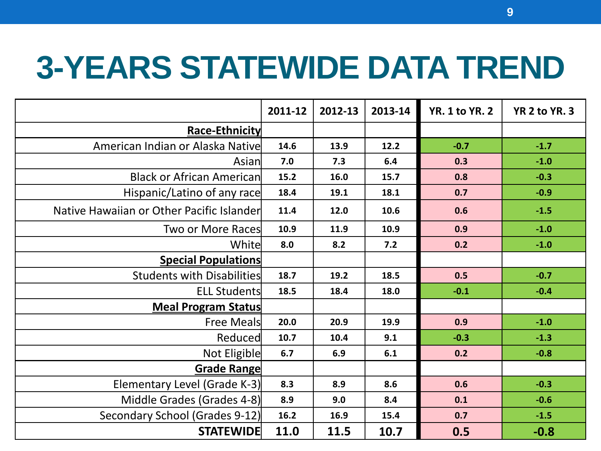# **3-YEARS STATEWIDE DATA TREND**

|                                           | 2011-12 | 2012-13 | 2013-14 | <b>YR. 1 to YR. 2</b> | YR 2 to YR. 3 |
|-------------------------------------------|---------|---------|---------|-----------------------|---------------|
| Race-Ethnicity                            |         |         |         |                       |               |
| American Indian or Alaska Native          | 14.6    | 13.9    | 12.2    | $-0.7$                | $-1.7$        |
| Asian                                     | 7.0     | 7.3     | 6.4     | 0.3                   | $-1.0$        |
| <b>Black or African American</b>          | 15.2    | 16.0    | 15.7    | 0.8                   | $-0.3$        |
| Hispanic/Latino of any race               | 18.4    | 19.1    | 18.1    | 0.7                   | $-0.9$        |
| Native Hawaiian or Other Pacific Islander | 11.4    | 12.0    | 10.6    | 0.6                   | $-1.5$        |
| Two or More Races                         | 10.9    | 11.9    | 10.9    | 0.9                   | $-1.0$        |
| Whitel                                    | 8.0     | 8.2     | 7.2     | 0.2                   | $-1.0$        |
| <b>Special Populations</b>                |         |         |         |                       |               |
| <b>Students with Disabilities</b>         | 18.7    | 19.2    | 18.5    | 0.5                   | $-0.7$        |
| <b>ELL Students</b>                       | 18.5    | 18.4    | 18.0    | $-0.1$                | $-0.4$        |
| <b>Meal Program Status</b>                |         |         |         |                       |               |
| Free Meals                                | 20.0    | 20.9    | 19.9    | 0.9                   | $-1.0$        |
| Reduced                                   | 10.7    | 10.4    | 9.1     | $-0.3$                | $-1.3$        |
| Not Eligible                              | 6.7     | 6.9     | 6.1     | 0.2                   | $-0.8$        |
| Grade Range                               |         |         |         |                       |               |
| Elementary Level (Grade K-3)              | 8.3     | 8.9     | 8.6     | 0.6                   | $-0.3$        |
| Middle Grades (Grades 4-8)                | 8.9     | 9.0     | 8.4     | 0.1                   | $-0.6$        |
| Secondary School (Grades 9-12)            | 16.2    | 16.9    | 15.4    | 0.7                   | $-1.5$        |
| <b>STATEWIDE</b>                          | 11.0    | 11.5    | 10.7    | 0.5                   | $-0.8$        |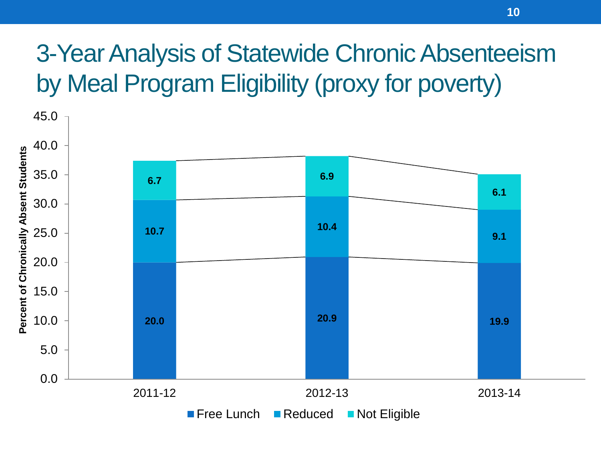#### 3-Year Analysis of Statewide Chronic Absenteeism by Meal Program Eligibility (proxy for poverty)

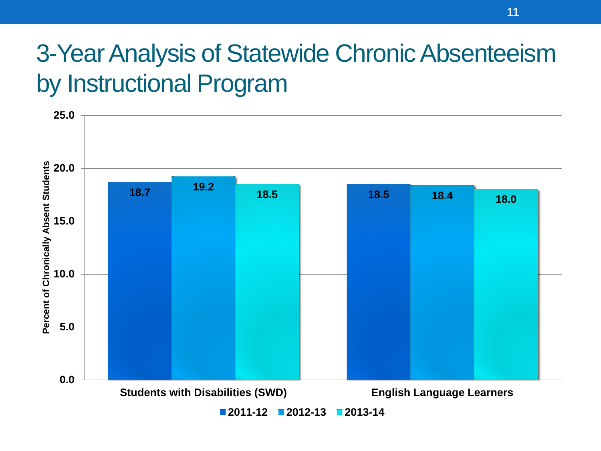#### 3-Year Analysis of Statewide Chronic Absenteeism by Instructional Program

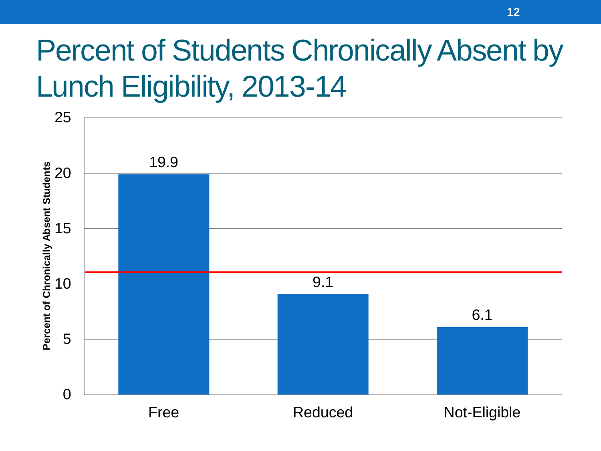# Percent of Students Chronically Absent by Lunch Eligibility, 2013-14

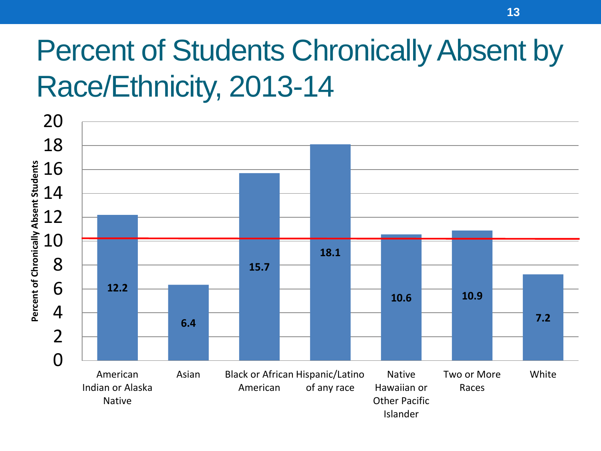# Percent of Students Chronically Absent by Race/Ethnicity, 2013-14

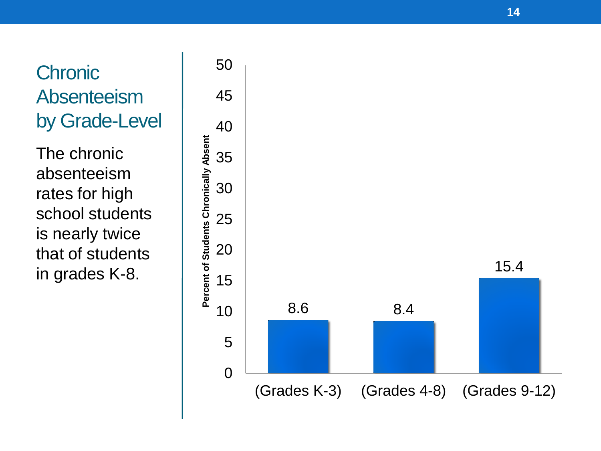# **Chronic** Absenteeism by Grade-Level

The chronic absenteeism rates for high school students is nearly twice that of students in grades K-8.

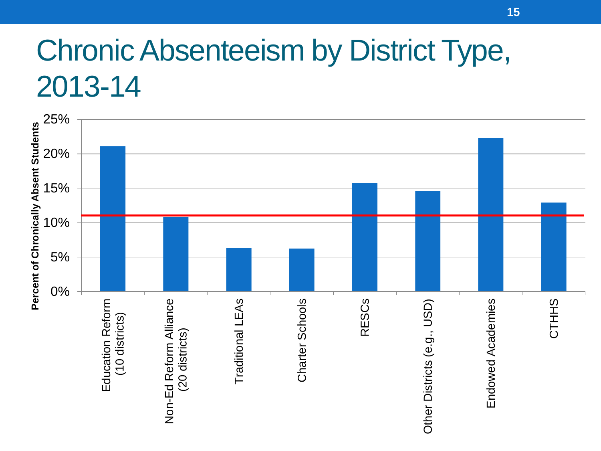## Chronic Absenteeism by District Type, 2013-14

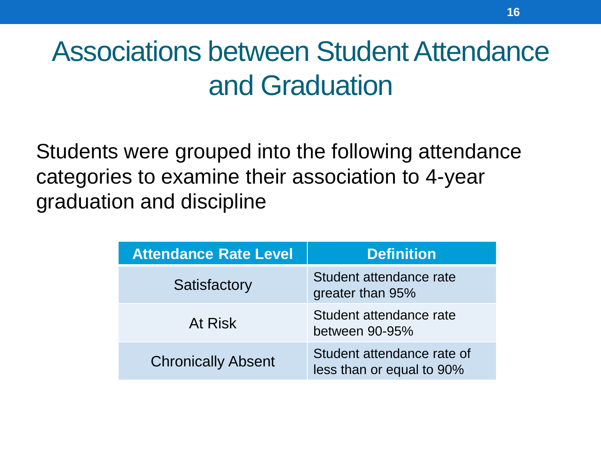### Associations between Student Attendance and Graduation

Students were grouped into the following attendance categories to examine their association to 4-year graduation and discipline

| <b>Attendance Rate Level</b> | <b>Definition</b>                                       |
|------------------------------|---------------------------------------------------------|
| Satisfactory                 | Student attendance rate<br>greater than 95%             |
| At Risk                      | Student attendance rate<br>between 90-95%               |
| <b>Chronically Absent</b>    | Student attendance rate of<br>less than or equal to 90% |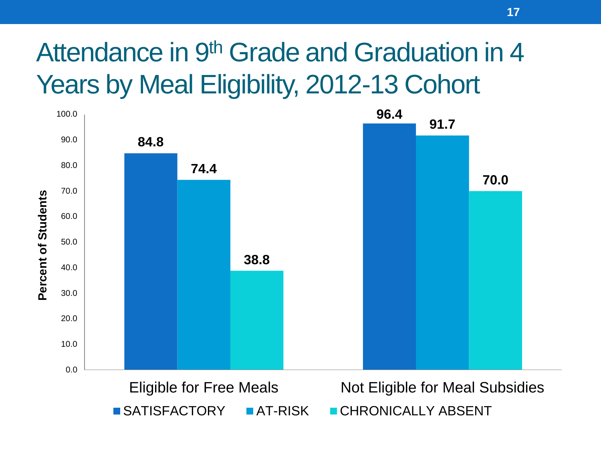### Attendance in 9<sup>th</sup> Grade and Graduation in 4 Years by Meal Eligibility, 2012-13 Cohort

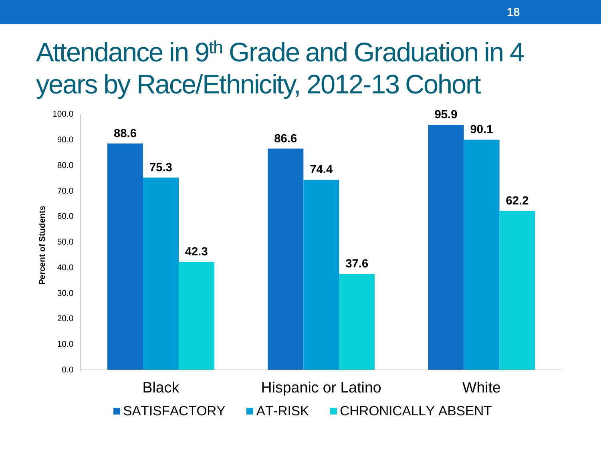### Attendance in 9<sup>th</sup> Grade and Graduation in 4 years by Race/Ethnicity, 2012-13 Cohort

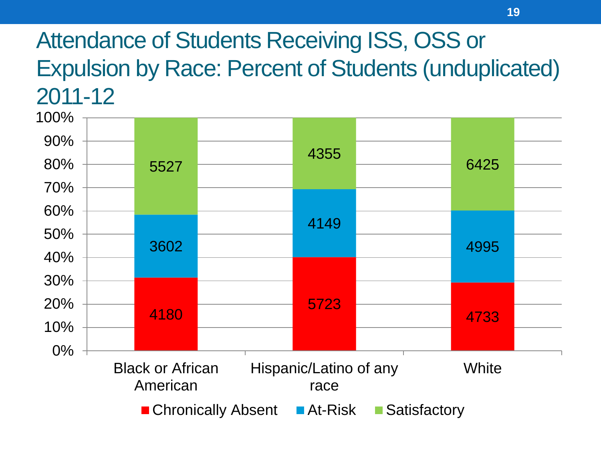#### Attendance of Students Receiving ISS, OSS or Expulsion by Race: Percent of Students (unduplicated) 2011-12

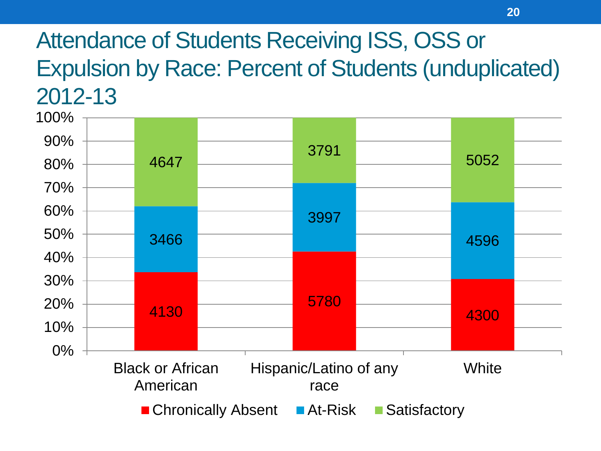#### Attendance of Students Receiving ISS, OSS or Expulsion by Race: Percent of Students (unduplicated) 2012-13

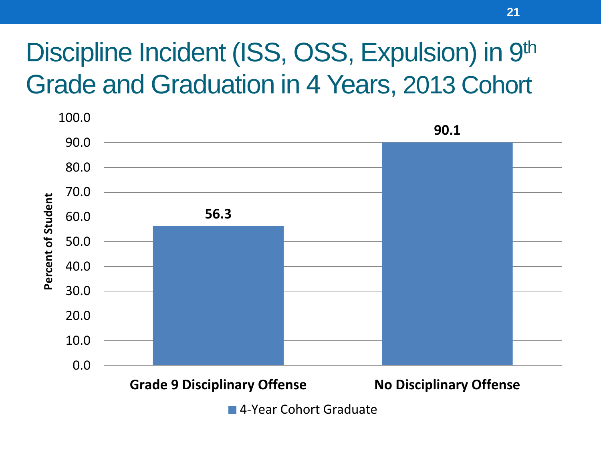### Discipline Incident (ISS, OSS, Expulsion) in 9th Grade and Graduation in 4 Years, 2013 Cohort



■ 4-Year Cohort Graduate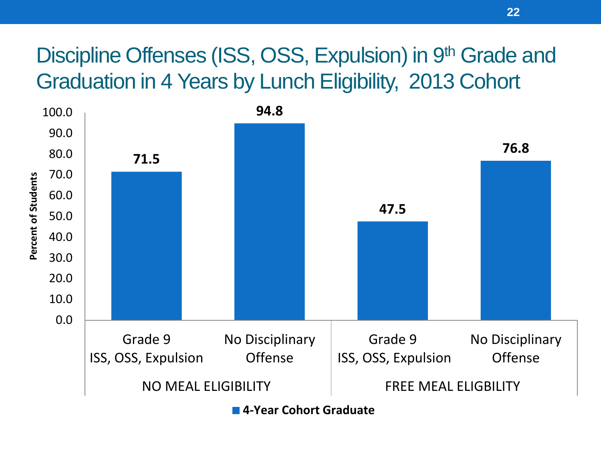#### Discipline Offenses (ISS, OSS, Expulsion) in 9th Grade and Graduation in 4 Years by Lunch Eligibility, 2013 Cohort